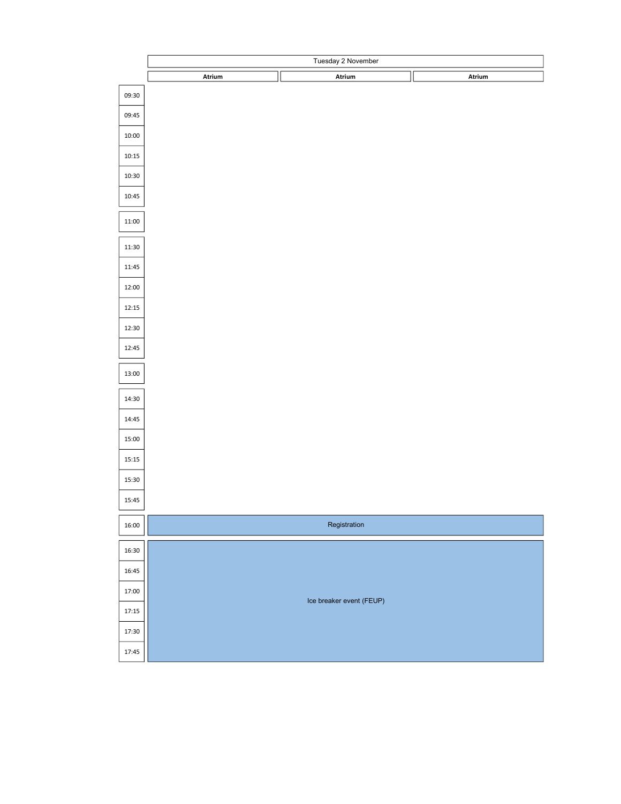|       | Tuesday 2 November |                          |  |        |
|-------|--------------------|--------------------------|--|--------|
|       | Atrium             | Atrium                   |  | Atrium |
| 09:30 |                    |                          |  |        |
| 09:45 |                    |                          |  |        |
| 10:00 |                    |                          |  |        |
| 10:15 |                    |                          |  |        |
| 10:30 |                    |                          |  |        |
| 10:45 |                    |                          |  |        |
| 11:00 |                    |                          |  |        |
| 11:30 |                    |                          |  |        |
| 11:45 |                    |                          |  |        |
| 12:00 |                    |                          |  |        |
| 12:15 |                    |                          |  |        |
| 12:30 |                    |                          |  |        |
| 12:45 |                    |                          |  |        |
| 13:00 |                    |                          |  |        |
| 14:30 |                    |                          |  |        |
| 14:45 |                    |                          |  |        |
| 15:00 |                    |                          |  |        |
| 15:15 |                    |                          |  |        |
| 15:30 |                    |                          |  |        |
| 15:45 |                    |                          |  |        |
| 16:00 |                    | Registration             |  |        |
| 16:30 |                    |                          |  |        |
| 16:45 |                    |                          |  |        |
| 17:00 |                    | Ice breaker event (FEUP) |  |        |
| 17:15 |                    |                          |  |        |
| 17:30 |                    |                          |  |        |
| 17:45 |                    |                          |  |        |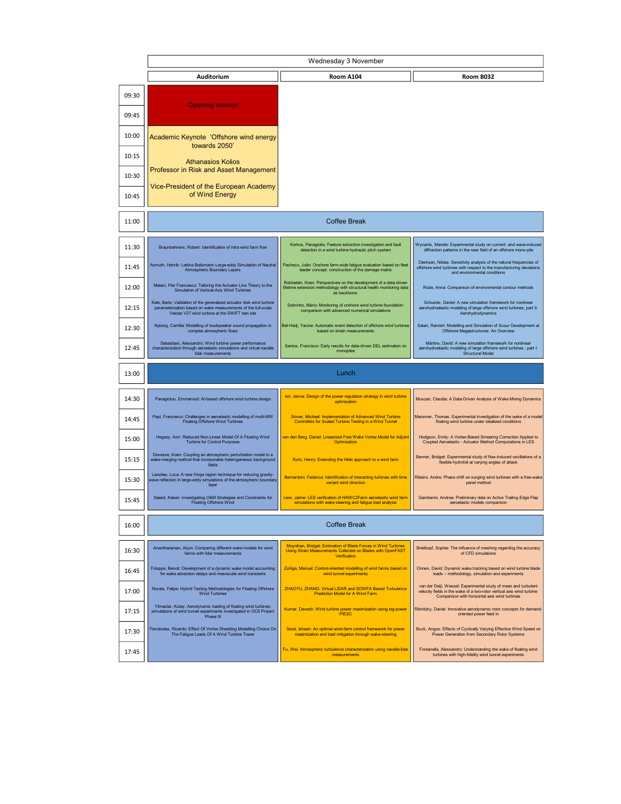|       | Wednesday 3 November                                                                                                                                                                     |                                                                                                                                                            |                                                                                                                                                                                            |  |
|-------|------------------------------------------------------------------------------------------------------------------------------------------------------------------------------------------|------------------------------------------------------------------------------------------------------------------------------------------------------------|--------------------------------------------------------------------------------------------------------------------------------------------------------------------------------------------|--|
|       | Auditorium                                                                                                                                                                               | <b>Room A104</b>                                                                                                                                           | Room B032                                                                                                                                                                                  |  |
| 09:30 | <b>Opening session</b>                                                                                                                                                                   |                                                                                                                                                            |                                                                                                                                                                                            |  |
| 09:45 |                                                                                                                                                                                          |                                                                                                                                                            |                                                                                                                                                                                            |  |
| 10:00 | Academic Keynote 'Offshore wind energy<br>towards 2050'                                                                                                                                  |                                                                                                                                                            |                                                                                                                                                                                            |  |
| 10:15 | <b>Athanasios Kolios</b><br>Professor in Risk and Asset Management                                                                                                                       |                                                                                                                                                            |                                                                                                                                                                                            |  |
| 10:30 | Vice-President of the European Academy                                                                                                                                                   |                                                                                                                                                            |                                                                                                                                                                                            |  |
| 10:45 | of Wind Energy                                                                                                                                                                           |                                                                                                                                                            |                                                                                                                                                                                            |  |
| 11:00 | <b>Coffee Break</b>                                                                                                                                                                      |                                                                                                                                                            |                                                                                                                                                                                            |  |
| 11:30 | Braunbehrens, Robert: Identification of intra wind farm flow                                                                                                                             | Korkos, Panagiotis: Feature extraction investigation and fault<br>detection in a wind turbine hydraulic pitch system                                       | Wynants, Mareile: Experimental study on current- and wave-induced<br>diffraction patterns in the near field of an offshore mono-pile                                                       |  |
| 11:45 | Asmuth, Henrik: Lattice Boltzmann Large-eddy Simulation of Neutral<br>Atmospheric Boundary Layers                                                                                        | Pacheco, João: Onshore farm-wide fatigue evaluation based on fleet<br>leader concept: construction of the damage matrix                                    | Dierksen, Niklas: Sensitivity analysis of the natural frequencies of<br>offshore wind turbines with respect to the manufacturing deviations<br>and environmental conditions                |  |
| 12:00 | Melani, Pier Francesco: Tailoring the Actuator Line Theory to the<br>Simulation of Vertical-Axis Wind Turbines                                                                           | Robbelein, Koen: Perspectives on the development of a data-driven<br>lifetime extension methodology with structural health monitoring data<br>as backbone. | Rode, Anna: Comparison of environmental contour methods                                                                                                                                    |  |
| 12:15 | Kale, Baris: Validation of the generalized actuator disk wind turbine<br>parameterization based on wake measurements of the full-scale<br>Vestas V27 wind turbine at the SWiFT test site | Sobrinho, Mário: Monitoring of onshore wind turbine foundation:<br>comparison with advanced numerical simulations                                          | Schuster, Daniel: A new simulation framework for nonlinear<br>aerohydroelastic modeling of large offshore wind turbines; part II:<br>Aerohydrodynamics                                     |  |
| 12:30 | Nyborg, Camilla: Modelling of loudspeaker sound propagation in<br>complex atmospheric flows<br>Sebastiani, Alessandro: Wind turbine power performance                                    | Bel-Hadj, Yacine: Automatic event detection of offshore wind turbines<br>based on strain measurements                                                      | Satari, Ramish: Modelling and Simulation of Scour Development at<br>Offshore Megastructures: An Overview<br>Märtins, David: A new simulation framework for nonlinear                       |  |
| 12:45 | characterization through aeroelastic simulations and virtual nacelle<br>lidar measurements                                                                                               | Santos, Francisco: Early results for data-driven DEL estimation on<br>monopiles                                                                            | aerohydroelastic modeling of large offshore wind turbines ; part I:<br>Structural Model                                                                                                    |  |
| 13:00 | Lunch                                                                                                                                                                                    |                                                                                                                                                            |                                                                                                                                                                                            |  |
| 14:30 | Panagiotou, Emmanouil: Al-based offshore wind turbine design                                                                                                                             | lori, Jenna: Design of the power regulation strategy in wind turbine<br>optimization                                                                       | Muscari, Claudia: A Data-Driven Analysis of Wake Mixing Dynamics                                                                                                                           |  |
| 14:45 | Papi, Francesco: Challenges in aeroelastic modelling of multi-MW<br><b>Floating Offshore Wind Turbines</b>                                                                               | Sinner, Michael: Implementation of Advanced Wind Turbine<br>Controllers for Scaled Turbine Testing in a Wind Tunnel                                        | Messmer, Thomas: Experimental investigation of the wake of a model<br>floating wind turbine under idealized conditions                                                                     |  |
| 15:00 | Hegazy, Amr: Reduced Non-Linear Model Of A Floating Wind<br><b>Turbine for Control Purposes</b>                                                                                          | van den Berg, Daniel: Linearized Free Wake Vortex Model for Adjoint<br>Optimization                                                                        | Hodgson, Emily: A Vortex-Based Smearing Correction Applied to<br>Coupled Aeroelastic - Actuator Method Computations in LES                                                                 |  |
| 15:15 | Devesse, Koen: Coupling an atmospheric perturbation model to a<br>wake-merging method that incorporates heterogeneous background<br>fields                                               | Korb, Henry: Extending the Helix approach to a wind farm                                                                                                   | Benner, Bridget: Experimental study of flow-induced oscillations of a<br>flexible hydrofoil at varying angles of attack                                                                    |  |
| 15:30 | Lanzilao, Luca: A new fringe region technique for reducing gravity-<br>wave reflection in large-eddy simulations of the atmospheric boundary<br>layer                                    | Bernardoni, Federico: Identification of interacting turbines with time<br>variant wind direction                                                           | Ribeiro, Andre: Phase shift on surging wind turbines with a free-wake<br>panel method                                                                                                      |  |
| 15:45 | Saeed, Kaiser: Investigating O&M Strategies and Constraints for<br><b>Floating Offshore Wind</b>                                                                                         | Liew, Jaime: LES verification of HAWC2Farm aeroelastic wind farm<br>simulations with wake steering and fatigue load analysis                               | Gamberini, Andrea: Preliminary data on Active Trailing Edge Flap<br>aeroelastic models comparison                                                                                          |  |
| 16:00 | <b>Coffee Break</b>                                                                                                                                                                      |                                                                                                                                                            |                                                                                                                                                                                            |  |
| 16:30 | Anantharaman, Arjun: Comparing different wake models for wind<br>farms with lidar measurements                                                                                           | Movnihan, Bridget: Estimation of Blade Forces in Wind Turbines<br>Using Strain Measurements Collected on Blades with OpenFAST<br>Verification              | Breitkopf, Sophie: The influence of meshing regarding the accuracy<br>of CFD simulations                                                                                                   |  |
| 16:45 | Foloppe, Benoit: Development of a dynamic wake model accounting<br>for wake advection delays and mesoscale wind transients                                                               | Zúñiga, Manuel: Control-oriented modelling of wind farms based on<br>wind tunnel experiments                                                               | Onnen, David: Dynamic wake tracking based on wind turbine blade<br>loads - methodology, simulation and experiments                                                                         |  |
| 17:00 | Novais, Felipe: Hybrid Testing Methodologies for Floating Offshore<br><b>Wind Turbines</b>                                                                                               | ZHAOYU, ZHANG: Virtual LIDAR and SOWFA Based Turbulence<br>Prediction Model for A Wind Farm                                                                | van der Deijl, Wessel: Experimental study of mean and turbulent<br>velocity fields in the wake of a two-rotor vertical axis wind turbine:<br>Comparison with horizontal axis wind turbines |  |
| 17:15 | Yilmazlar, Kutay: Aerodynamic loading of floating wind turbines:<br>simulations of wind tunnel experiments investigated in OC6 Project<br>Phase III                                      | Kumar, Devesh: Wind turbine power maximization using log-power                                                                                             | Ribnitzky, Daniel: Innovative aerodynamic rotor concepts for demand-<br>oriented power feed in                                                                                             |  |
| 17:30 | Fernández, Ricardo: Effect Of Vortex Shedding Modelling Choice On<br>The Fatigue Loads Of A Wind Turbine Tower                                                                           | Sood, Ishaan: An optimal wind-farm control framework for power<br>maximization and load mitigation through wake-steering                                   | Buck, Angus: Effects of Cyclically Varying Effective Wind Speed on<br>Power Generation from Secondary Rotor Systems                                                                        |  |
| 17:45 |                                                                                                                                                                                          | Fu, Wei: Atmospheric turbulence characterization using nacelle-lidar<br>measurements                                                                       | Fontanella, Alessandro: Understanding the wake of floating wind<br>turbines with high-fidelity wind tunnel experiments                                                                     |  |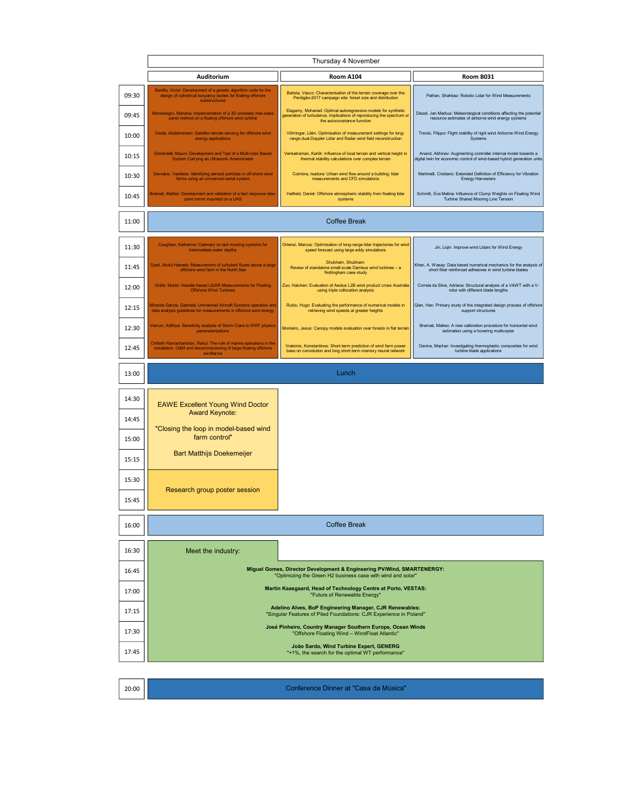|       | Thursday 4 November                                                                                                                                 |                                                                                                                                                                       |                                                                                                                                           |  |  |
|-------|-----------------------------------------------------------------------------------------------------------------------------------------------------|-----------------------------------------------------------------------------------------------------------------------------------------------------------------------|-------------------------------------------------------------------------------------------------------------------------------------------|--|--|
|       | Auditorium                                                                                                                                          | Room A104                                                                                                                                                             | Room B031                                                                                                                                 |  |  |
| 09:30 | Benifla, Victor: Development of a genetic algorithm code for the<br>design of cylindrical buoyancy bodies for floating offshore<br>substructures    | Batista, Vasco: Characterisation of the terrain coverage over the<br>Perdigão-2017 campaign site: forest size and distribution                                        | Pathan, Shahbaz: Robotic Lidar for Wind Measurements                                                                                      |  |  |
| 09:45 | Montenegro, Mariana: Implementation of a 3D unsteady free-wake<br>panel method on a floating offshore wind turbine                                  | Elagamy, Mohanad: Optimal autoregressive models for synthetic<br>generation of turbulence. Implications of reproducing the spectrum or<br>the autocovariance function | Diezel, Jan Markus: Meteorological conditions affecting the potential<br>resource estimates of airborne wind energy systems               |  |  |
| 10:00 | Owda, Abdalmenem: Satellite remote sensing for offshore wind<br>energy applications                                                                 | Vöhringer, Lilén: Optimisation of measurement settings for long-<br>range dual-Doppler Lidar and Radar wind field reconstruction                                      | Trevisi, Filippo: Flight stability of rigid wind Airborne Wind Energy<br>Systems                                                          |  |  |
| 10:15 | Ghirardelli, Mauro: Development and Test of a Multi-rotor Based<br>System Carrying an Ultrasonic Anemometer                                         | Venkatraman, Kartik: Influence of local terrain and vertical height in<br>thermal stability calculations over complex terrain                                         | Anand, Abhinav: Augmenting controller internal model towards a<br>digital twin for economic control of wind-based hybrid generation units |  |  |
| 10:30 | Savvakis, Vasileios: Identifying aerosol particles in off-shore wind<br>farms using an unmanned aerial system                                       | Coimbra, Isadora: Urban wind flow around a building: lidar<br>measurements and CFD simulations                                                                        | Martinelli, Cristiano: Extended Definition of Efficiency for Vibration<br><b>Energy Harvesters</b>                                        |  |  |
| 10:45 | Bramati, Matteo: Development and validation of a fast response dew-<br>point mirror mounted on a UAS                                                | Hatfield, Daniel: Offshore atmospheric stability from floating lidar<br>systems                                                                                       | Schmitt, Eva Melina: Influence of Clump Weights on Floating Wind<br>Turbine Shared Mooring Line Tension                                   |  |  |
| 11:00 | <b>Coffee Break</b>                                                                                                                                 |                                                                                                                                                                       |                                                                                                                                           |  |  |
| 11:30 | Coughlan, Katherine: Catenary vs taut mooring systems for<br>intermediate water depths                                                              | Ortensi, Marcos: Optimisation of long-range lidar trajectories for wind<br>speed forecast using large eddy simulations                                                | Jin, Liqin: Improve wind Lidars for Wind Energy                                                                                           |  |  |
| 11:45 | Syed, Abdul Haseeb: Measurement of turbulent fluxes above a large<br>offshore wind farm in the North Sea                                            | Shubham, Shubham:<br>Review of standalone small-scale Darrieus wind turbines - a<br>Nottingham case study                                                             | Khan, A. Wasay: Data based numerical mechanics for the analysis of<br>short fiber reinforced adhesives in wind turbine blades             |  |  |
| 12:00 | Gräfe, Moritz: Nacelle based LiDAR Measurements for Floating<br><b>Offshore Wind Turbines</b>                                                       | Zuo, Haichen: Evaluation of Aeolus L2B wind product cross Australia<br>using triple collocation analysis                                                              | Correia da Silva, Adriana: Structural analysis of a VAWT with a V-<br>rotor with different blade lengths                                  |  |  |
| 12:15 | Miranda Garcia, Gabriela: Unmanned Aircraft Systems operation and<br>data analysis guidelines for measurements in offshore wind energy              | Rubio, Hugo: Evaluating the performance of numerical models in<br>retrieving wind speeds at greater heights                                                           | Qian, Han: Primary study of the integrated design process of offshore<br>support structures                                               |  |  |
| 12:30 | Vemuri, Adithya: Sensitivity analysis of Storm Ciara to WRF physics<br>parameterizations                                                            | Monteiro, Jesus: Canopy models evaluation over forests in flat terrain                                                                                                | Bramati, Matteo: A new calibration procedure for horizontal wind<br>estimation using a hovering multicopter                               |  |  |
| 12:45 | Chitteth Ramachandran, Rahul: The role of marine operations in the<br>installation, O&M and decommissioning of large floating offshore<br>windfarms | Vratsinis, Konstantinos: Short-term prediction of wind farm power<br>base on convolution and long short-term memory neural network                                    | Devine, Machar: Investigating thermoplastic composites for wind<br>turbine blade applications                                             |  |  |
|       |                                                                                                                                                     |                                                                                                                                                                       |                                                                                                                                           |  |  |
| 13:00 |                                                                                                                                                     | Lunch                                                                                                                                                                 |                                                                                                                                           |  |  |
| 14:30 |                                                                                                                                                     |                                                                                                                                                                       |                                                                                                                                           |  |  |
| 14:45 | <b>EAWE Excellent Young Wind Doctor</b><br><b>Award Keynote:</b>                                                                                    |                                                                                                                                                                       |                                                                                                                                           |  |  |
| 15:00 | "Closing the loop in model-based wind<br>farm control"                                                                                              |                                                                                                                                                                       |                                                                                                                                           |  |  |
| 15:15 | <b>Bart Matthijs Doekemeijer</b>                                                                                                                    |                                                                                                                                                                       |                                                                                                                                           |  |  |
| 15:30 |                                                                                                                                                     |                                                                                                                                                                       |                                                                                                                                           |  |  |
| 15:45 | Research group poster session                                                                                                                       |                                                                                                                                                                       |                                                                                                                                           |  |  |
| 16:00 |                                                                                                                                                     | <b>Coffee Break</b>                                                                                                                                                   |                                                                                                                                           |  |  |
| 16:30 | Meet the industry:                                                                                                                                  |                                                                                                                                                                       |                                                                                                                                           |  |  |
| 16:45 |                                                                                                                                                     | Miguel Gomes, Director Development & Engineering PV/Wind, SMARTENERGY:<br>"Optimizing the Green H2 business case with wind and solar"                                 |                                                                                                                                           |  |  |
| 17:00 |                                                                                                                                                     | Martin Kaasgaard, Head of Technology Centre at Porto, VESTAS:<br>"Future of Renewable Energy"                                                                         |                                                                                                                                           |  |  |
| 17:15 |                                                                                                                                                     | Adelino Alves, BoP Engineering Manager, CJR Renewables:<br>"Singular Features of Piled Foundations: CJR Experience in Poland"                                         |                                                                                                                                           |  |  |
| 17:30 |                                                                                                                                                     | José Pinheiro, Country Manager Southern Europe, Ocean Winds<br>"Offshore Floating Wind - WindFloat Atlantic"                                                          |                                                                                                                                           |  |  |

20:00

Conference Dinner at "Casa da Música"